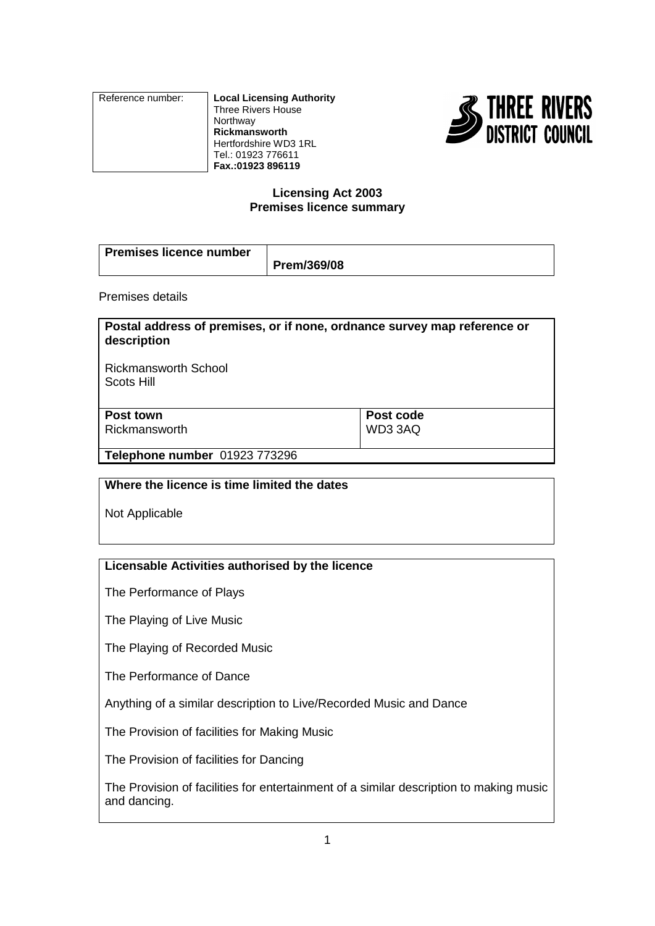| Northway<br>Rickmansworth<br>Hertfordshire WD3 1RL<br>Tel.: 01923 776611<br>Fax.: 01923 896119 | Reference number: | <b>Local Licensing Authority</b><br><b>Three Rivers House</b> |
|------------------------------------------------------------------------------------------------|-------------------|---------------------------------------------------------------|
|------------------------------------------------------------------------------------------------|-------------------|---------------------------------------------------------------|



### **Licensing Act 2003 Premises licence summary**

| <b>Premises licence number</b> |             |
|--------------------------------|-------------|
|                                | Prem/369/08 |

Premises details

| Postal address of premises, or if none, ordnance survey map reference or<br>description |           |  |
|-----------------------------------------------------------------------------------------|-----------|--|
| <b>Rickmansworth School</b><br>Scots Hill                                               |           |  |
| Post town                                                                               | Post code |  |
| Rickmansworth                                                                           | WD33AQ    |  |

**Telephone number** 01923 773296

### **Where the licence is time limited the dates**

Not Applicable

# **Licensable Activities authorised by the licence**

The Performance of Plays

The Playing of Live Music

The Playing of Recorded Music

The Performance of Dance

Anything of a similar description to Live/Recorded Music and Dance

The Provision of facilities for Making Music

The Provision of facilities for Dancing

The Provision of facilities for entertainment of a similar description to making music and dancing.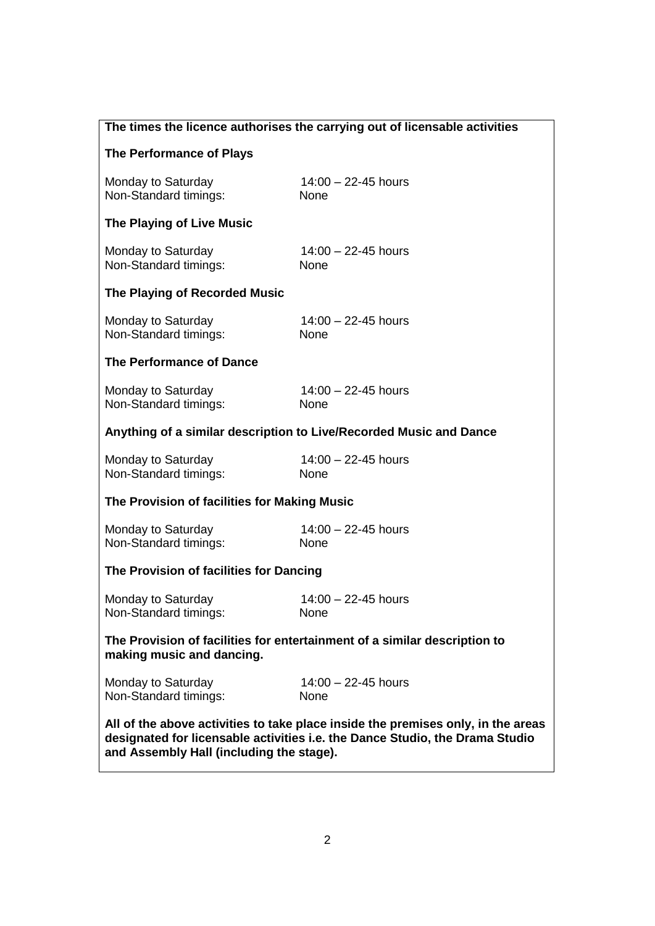| The times the licence authorises the carrying out of licensable activities                                                                                                                                   |                                 |  |
|--------------------------------------------------------------------------------------------------------------------------------------------------------------------------------------------------------------|---------------------------------|--|
| The Performance of Plays                                                                                                                                                                                     |                                 |  |
| Monday to Saturday<br>Non-Standard timings:                                                                                                                                                                  | 14:00 - 22-45 hours<br>None     |  |
| The Playing of Live Music                                                                                                                                                                                    |                                 |  |
| Monday to Saturday<br>Non-Standard timings:                                                                                                                                                                  | 14:00 - 22-45 hours<br>None     |  |
| The Playing of Recorded Music                                                                                                                                                                                |                                 |  |
| Monday to Saturday<br>Non-Standard timings:                                                                                                                                                                  | 14:00 - 22-45 hours<br>None     |  |
| The Performance of Dance                                                                                                                                                                                     |                                 |  |
| Monday to Saturday<br>Non-Standard timings:                                                                                                                                                                  | $14:00 - 22 - 45$ hours<br>None |  |
| Anything of a similar description to Live/Recorded Music and Dance                                                                                                                                           |                                 |  |
| Monday to Saturday<br>Non-Standard timings:                                                                                                                                                                  | $14:00 - 22 - 45$ hours<br>None |  |
| The Provision of facilities for Making Music                                                                                                                                                                 |                                 |  |
| Monday to Saturday<br>Non-Standard timings:                                                                                                                                                                  | $14:00 - 22 - 45$ hours<br>None |  |
| The Provision of facilities for Dancing                                                                                                                                                                      |                                 |  |
| Monday to Saturday<br>Non-Standard timings:                                                                                                                                                                  | 14:00 - 22-45 hours<br>None     |  |
| The Provision of facilities for entertainment of a similar description to<br>making music and dancing.                                                                                                       |                                 |  |
| Monday to Saturday<br>Non-Standard timings:                                                                                                                                                                  | $14:00 - 22 - 45$ hours<br>None |  |
| All of the above activities to take place inside the premises only, in the areas<br>designated for licensable activities i.e. the Dance Studio, the Drama Studio<br>and Assembly Hall (including the stage). |                                 |  |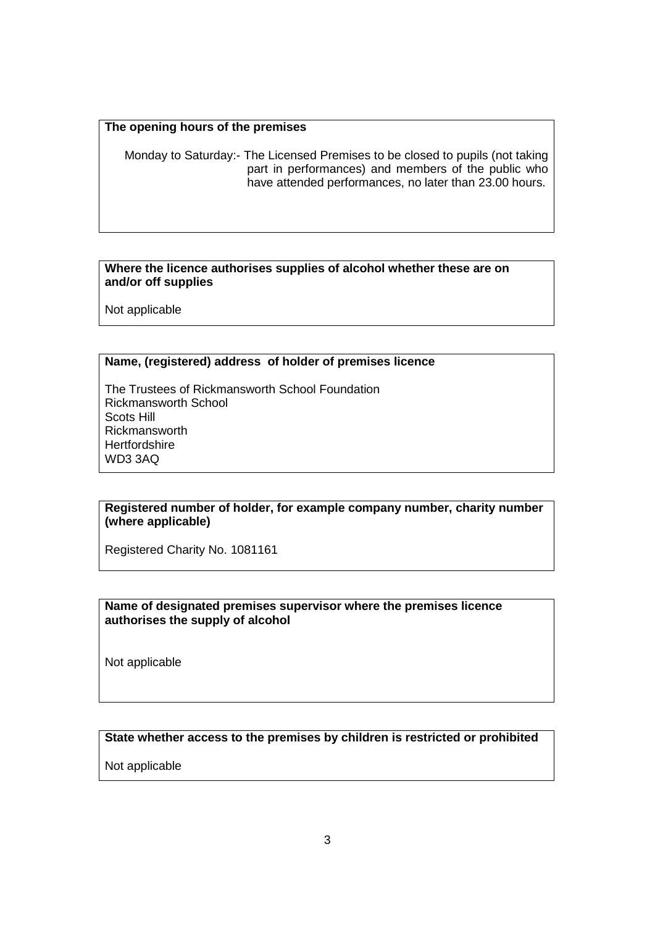#### **The opening hours of the premises**

Monday to Saturday:- The Licensed Premises to be closed to pupils (not taking part in performances) and members of the public who have attended performances, no later than 23.00 hours.

### **Where the licence authorises supplies of alcohol whether these are on and/or off supplies**

Not applicable

### **Name, (registered) address of holder of premises licence**

The Trustees of Rickmansworth School Foundation Rickmansworth School Scots Hill Rickmansworth **Hertfordshire** WD3 3AQ

#### **Registered number of holder, for example company number, charity number (where applicable)**

Registered Charity No. 1081161

#### **Name of designated premises supervisor where the premises licence authorises the supply of alcohol**

Not applicable

# **State whether access to the premises by children is restricted or prohibited**

Not applicable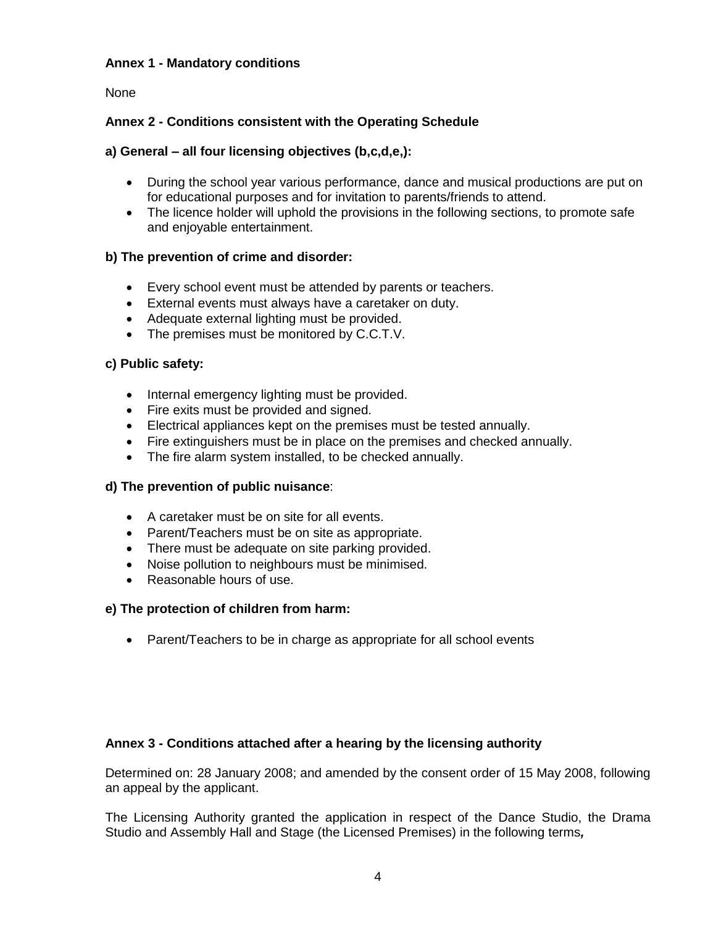### **Annex 1 - Mandatory conditions**

None

# **Annex 2 - Conditions consistent with the Operating Schedule**

# **a) General – all four licensing objectives (b,c,d,e,):**

- During the school year various performance, dance and musical productions are put on for educational purposes and for invitation to parents/friends to attend.
- The licence holder will uphold the provisions in the following sections, to promote safe and enjoyable entertainment.

### **b) The prevention of crime and disorder:**

- Every school event must be attended by parents or teachers.
- External events must always have a caretaker on duty.
- Adequate external lighting must be provided.
- The premises must be monitored by C.C.T.V.

### **c) Public safety:**

- Internal emergency lighting must be provided.
- Fire exits must be provided and signed.
- Electrical appliances kept on the premises must be tested annually.
- Fire extinguishers must be in place on the premises and checked annually.
- The fire alarm system installed, to be checked annually.

### **d) The prevention of public nuisance**:

- A caretaker must be on site for all events.
- Parent/Teachers must be on site as appropriate.
- There must be adequate on site parking provided.
- Noise pollution to neighbours must be minimised.
- Reasonable hours of use.

### **e) The protection of children from harm:**

• Parent/Teachers to be in charge as appropriate for all school events

### **Annex 3 - Conditions attached after a hearing by the licensing authority**

Determined on: 28 January 2008; and amended by the consent order of 15 May 2008, following an appeal by the applicant.

The Licensing Authority granted the application in respect of the Dance Studio, the Drama Studio and Assembly Hall and Stage (the Licensed Premises) in the following terms*,*